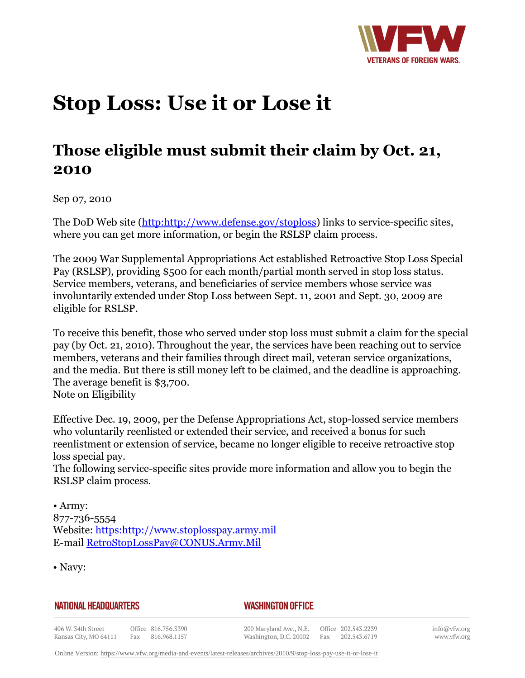

## **Stop Loss: Use it or Lose it**

## **Those eligible must submit their claim by Oct. 21, 2010**

Sep 07, 2010

The DoD Web site ([http:http://www.defense.gov/stoploss\)](http:http://www.defense.gov/stoploss) links to service-specific sites, where you can get more information, or begin the RSLSP claim process.

The 2009 War Supplemental Appropriations Act established Retroactive Stop Loss Special Pay (RSLSP), providing \$500 for each month/partial month served in stop loss status. Service members, veterans, and beneficiaries of service members whose service was involuntarily extended under Stop Loss between Sept. 11, 2001 and Sept. 30, 2009 are eligible for RSLSP.

To receive this benefit, those who served under stop loss must submit a claim for the special pay (by Oct. 21, 2010). Throughout the year, the services have been reaching out to service members, veterans and their families through direct mail, veteran service organizations, and the media. But there is still money left to be claimed, and the deadline is approaching. The average benefit is \$3,700. Note on Eligibility

Effective Dec. 19, 2009, per the Defense Appropriations Act, stop-lossed service members who voluntarily reenlisted or extended their service, and received a bonus for such reenlistment or extension of service, became no longer eligible to receive retroactive stop loss special pay.

The following service-specific sites provide more information and allow you to begin the RSLSP claim process.

• Army: 877-736-5554 Website: [https:http://www.stoplosspay.army.mil](https:http://www.stoplosspay.army.mil/) E-mail [RetroStopLossPay@CONUS.Army.Mil](mailto:)

• Navy:

## **NATIONAL HEADQUARTERS**

## *WASHINGTON OFFICE*

406 W. 34th Street Kansas City, MO 64111

Office 816.756.3390 Fax 816.968.1157

200 Maryland Ave., N.E. Washington, D.C. 20002

Office 202.543.2239 Fax 202.543.6719 info@vfw.org www.vfw.org